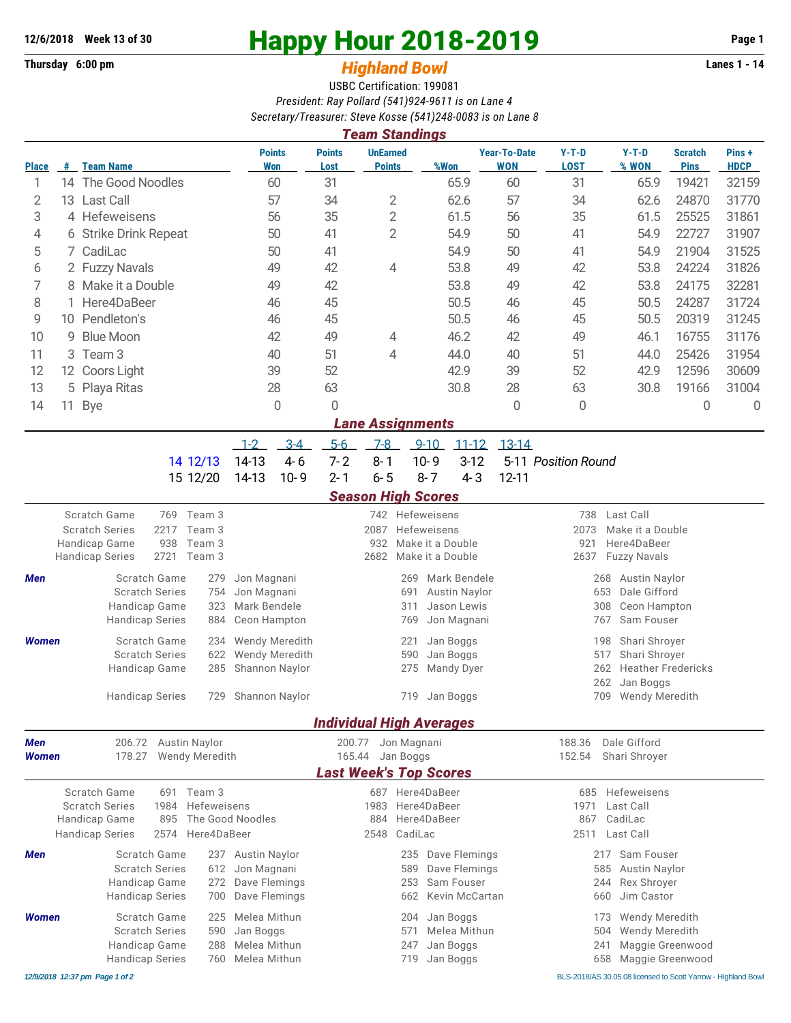## **Thursday 6:00 pm** *Highland Bowl*

## **12/6/2018** Week 13 of 30<br>
Thursday 6:00 pm<br> **Happy Hour 2018-2019 Page 1**<br> **Highland Rowl**

## USBC Certification: 199081 *President: Ray Pollard (541)924-9611 is on Lane 4 Secretary/Treasurer: Steve Kosse (541)248-0083 is on Lane 8*

| <b>Team Standings</b> |                        |                                                                            |                        |                       |                            |                             |                                                     |                                  |                   |                              |                                   |                                                    |                              |                               |                      |  |  |  |
|-----------------------|------------------------|----------------------------------------------------------------------------|------------------------|-----------------------|----------------------------|-----------------------------|-----------------------------------------------------|----------------------------------|-------------------|------------------------------|-----------------------------------|----------------------------------------------------|------------------------------|-------------------------------|----------------------|--|--|--|
| <b>Place</b>          | #                      | <b>Team Name</b>                                                           |                        |                       |                            | <b>Points</b><br><b>Won</b> | <b>Points</b><br>Lost                               | <b>UnEarned</b><br><b>Points</b> |                   | %Won                         | <b>Year-To-Date</b><br><b>WON</b> | $Y-T-D$<br><b>LOST</b>                             | $Y-T-D$<br>% WON             | <b>Scratch</b><br><b>Pins</b> | Pins+<br><b>HDCP</b> |  |  |  |
| 1                     |                        | 14 The Good Noodles                                                        |                        |                       |                            | 60                          | 31                                                  |                                  |                   | 65.9                         | 60                                | 31                                                 | 65.9                         | 19421                         | 32159                |  |  |  |
| 2                     |                        | 13 Last Call                                                               | 57                     |                       | 34                         | 2                           |                                                     | 62.6                             | 57                | 34                           | 62.6                              | 24870                                              | 31770                        |                               |                      |  |  |  |
| 3                     |                        | 4 Hefeweisens                                                              |                        |                       | 56                         |                             | 35                                                  | $\overline{2}$                   |                   | 61.5                         | 56                                | 35                                                 | 61.5                         | 25525                         | 31861                |  |  |  |
| 4                     | 6 Strike Drink Repeat  |                                                                            |                        | 50                    |                            | 41                          | $\overline{2}$                                      |                                  | 54.9              | 50                           | 41                                | 54.9                                               | 22727                        | 31907                         |                      |  |  |  |
| 5                     | CadiLac<br>7.          |                                                                            |                        |                       | 50                         | 41                          |                                                     |                                  | 54.9              | 50                           | 41                                | 54.9                                               | 21904                        | 31525                         |                      |  |  |  |
| 6                     | 2 Fuzzy Navals         |                                                                            |                        |                       |                            | 49                          | 42                                                  | 4                                |                   | 53.8                         | 49                                | 42                                                 | 53.8                         | 24224                         | 31826                |  |  |  |
| 7                     | 8 Make it a Double     |                                                                            |                        |                       |                            | 49                          | 42                                                  |                                  |                   | 53.8                         | 49                                | 42                                                 | 53.8                         | 24175                         | 32281                |  |  |  |
| 8                     | Here4DaBeer            |                                                                            |                        |                       |                            | 46                          | 45                                                  |                                  |                   | 50.5                         | 46                                | 45                                                 | 50.5                         | 24287                         | 31724                |  |  |  |
| 9                     | Pendleton's<br>10      |                                                                            |                        |                       |                            | 46                          | 45                                                  |                                  |                   | 50.5                         | 46                                | 45                                                 | 50.5                         | 20319                         | 31245                |  |  |  |
| 10                    | <b>Blue Moon</b><br>9  |                                                                            |                        |                       |                            | 42                          | 49                                                  | 4                                |                   | 46.2                         | 42                                | 49                                                 | 46.1                         | 16755                         | 31176                |  |  |  |
| 11                    | Team <sub>3</sub><br>3 |                                                                            |                        |                       |                            | 40                          | 51                                                  | 4                                |                   | 44.0                         | 40                                | 51                                                 | 44.0                         | 25426                         | 31954                |  |  |  |
| 12                    | 12 Coors Light         |                                                                            |                        | 39                    |                            | 52                          |                                                     | 42.9                             |                   | 39                           | 52                                | 42.9                                               | 12596                        | 30609                         |                      |  |  |  |
| 13                    | 5 Playa Ritas          |                                                                            | 28                     |                       | 63                         |                             | 30.8                                                |                                  | 28                | 63                           | 30.8                              | 19166                                              | 31004                        |                               |                      |  |  |  |
| 14                    | 11                     | <b>Bye</b>                                                                 |                        |                       |                            | $\mathbf 0$                 | 0                                                   |                                  |                   |                              | 0                                 | 0                                                  |                              | 0                             | 0                    |  |  |  |
|                       |                        |                                                                            |                        |                       |                            |                             |                                                     | <b>Lane Assignments</b>          |                   |                              |                                   |                                                    |                              |                               |                      |  |  |  |
|                       |                        |                                                                            |                        |                       | $1-2$                      | $3-4$                       | $5-6$                                               | $7-8$                            | $9 - 10$          | $11 - 12$                    | $13-14$                           |                                                    |                              |                               |                      |  |  |  |
|                       |                        |                                                                            |                        | 14 12/13              | 14-13                      | $4 - 6$                     | $7 - 2$                                             | $8 - 1$                          | $10 - 9$          | $3-12$                       |                                   | 5-11 Position Round                                |                              |                               |                      |  |  |  |
|                       |                        |                                                                            |                        | 15 12/20              | 14-13                      | $10 - 9$                    | $2 - 1$                                             | $6 - 5$                          | $8 - 7$           | $4 - 3$                      | $12 - 11$                         |                                                    |                              |                               |                      |  |  |  |
|                       |                        |                                                                            |                        |                       |                            |                             |                                                     | <b>Season High Scores</b>        |                   |                              |                                   |                                                    |                              |                               |                      |  |  |  |
|                       |                        | Scratch Game                                                               | 769 Team 3             |                       |                            |                             |                                                     | 742 Hefeweisens                  |                   |                              |                                   | Last Call<br>738                                   |                              |                               |                      |  |  |  |
|                       |                        | 2217<br><b>Scratch Series</b><br>Team 3                                    |                        |                       |                            |                             |                                                     | 2087                             | Hefeweisens       |                              |                                   |                                                    | 2073<br>Make it a Double     |                               |                      |  |  |  |
|                       |                        | Team 3<br>Handicap Game<br>938<br>2721<br>Team 3<br><b>Handicap Series</b> |                        |                       |                            |                             | 932<br>Make it a Double<br>2682<br>Make it a Double |                                  |                   |                              |                                   | Here4DaBeer<br>921<br>2637<br><b>Fuzzy Navals</b>  |                              |                               |                      |  |  |  |
|                       |                        |                                                                            |                        |                       |                            |                             |                                                     |                                  |                   |                              |                                   |                                                    |                              |                               |                      |  |  |  |
| Men                   |                        | Scratch Game<br>279<br><b>Scratch Series</b><br>754                        |                        |                       | Jon Magnani<br>Jon Magnani |                             |                                                     |                                  | 269               | Mark Bendele                 |                                   | <b>Austin Naylor</b><br>268<br>Dale Gifford<br>653 |                              |                               |                      |  |  |  |
|                       |                        |                                                                            | Handicap Game          | 323                   | Mark Bendele               |                             |                                                     |                                  | 691<br>311        | Austin Naylor<br>Jason Lewis |                                   |                                                    | 308<br>Ceon Hampton          |                               |                      |  |  |  |
|                       |                        | <b>Handicap Series</b><br>884                                              |                        | Ceon Hampton          |                            |                             |                                                     | 769                              | Jon Magnani       |                              | 767<br>Sam Fouser                 |                                                    |                              |                               |                      |  |  |  |
| <b>Women</b>          |                        | Scratch Game<br>234                                                        |                        |                       |                            | Wendy Meredith              |                                                     |                                  | 221               | Jan Boggs                    |                                   | Shari Shroyer<br>198                               |                              |                               |                      |  |  |  |
|                       |                        | <b>Scratch Series</b><br>622                                               |                        |                       |                            | Wendy Meredith              |                                                     |                                  | 590               | Jan Boggs                    |                                   | 517<br>Shari Shroyer                               |                              |                               |                      |  |  |  |
|                       |                        | Handicap Game<br>285                                                       |                        |                       | Shannon Naylor             |                             |                                                     |                                  | 275               | <b>Mandy Dyer</b>            |                                   |                                                    | 262                          | <b>Heather Fredericks</b>     |                      |  |  |  |
|                       |                        |                                                                            |                        |                       |                            |                             |                                                     |                                  |                   |                              |                                   |                                                    | 262<br>Jan Boggs             |                               |                      |  |  |  |
|                       |                        |                                                                            | <b>Handicap Series</b> | 729                   | Shannon Naylor             |                             |                                                     |                                  |                   | 719 Jan Boggs                |                                   |                                                    | 709<br><b>Wendy Meredith</b> |                               |                      |  |  |  |
|                       |                        |                                                                            |                        |                       |                            |                             |                                                     | <b>Individual High Averages</b>  |                   |                              |                                   |                                                    |                              |                               |                      |  |  |  |
| Men                   |                        | 206.72<br><b>Austin Naylor</b>                                             |                        |                       |                            |                             | 200.77<br>Jon Magnani                               |                                  |                   |                              |                                   | Dale Gifford<br>188.36                             |                              |                               |                      |  |  |  |
| Women                 |                        | 178.27                                                                     |                        | <b>Wendy Meredith</b> |                            |                             | Jan Boggs<br>165.44                                 |                                  |                   |                              |                                   | 152.54<br>Shari Shroyer                            |                              |                               |                      |  |  |  |
|                       |                        |                                                                            |                        |                       |                            |                             |                                                     | <b>Last Week's Top Scores</b>    |                   |                              |                                   |                                                    |                              |                               |                      |  |  |  |
|                       |                        | Scratch Game                                                               |                        | 691 Team 3            |                            |                             |                                                     | 687 Here4DaBeer                  |                   |                              |                                   |                                                    | 685 Hefeweisens              |                               |                      |  |  |  |
|                       |                        | Hefeweisens<br><b>Scratch Series</b><br>1984<br>Handicap Game<br>895       |                        |                       | The Good Noodles           |                             | Here4DaBeer<br>1983<br>Here4DaBeer<br>884           |                                  |                   |                              |                                   | Last Call<br>1971<br>867<br>CadiLac                |                              |                               |                      |  |  |  |
|                       |                        | <b>Handicap Series</b><br>2574<br>Here4DaBeer                              |                        |                       |                            |                             | CadiLac<br>2548                                     |                                  |                   |                              |                                   | 2511<br>Last Call                                  |                              |                               |                      |  |  |  |
| Men                   | Scratch Game<br>237    |                                                                            |                        | Austin Naylor         |                            |                             |                                                     | 235                              | Dave Flemings     |                              |                                   | 217<br>Sam Fouser                                  |                              |                               |                      |  |  |  |
|                       |                        | <b>Scratch Series</b><br>612                                               |                        |                       | Jon Magnani                |                             |                                                     |                                  | 589               | Dave Flemings                |                                   |                                                    | 585<br><b>Austin Naylor</b>  |                               |                      |  |  |  |
|                       |                        | Handicap Game<br>272                                                       |                        |                       | Dave Flemings              |                             |                                                     |                                  | Sam Fouser<br>253 |                              |                                   |                                                    | 244<br>Rex Shroyer           |                               |                      |  |  |  |
|                       |                        |                                                                            | <b>Handicap Series</b> | 700                   | Dave Flemings              |                             |                                                     |                                  | 662               | Kevin McCartan               |                                   |                                                    | Jim Castor<br>660            |                               |                      |  |  |  |
| <b>Women</b>          |                        |                                                                            | Scratch Game           | 225                   | Melea Mithun               |                             |                                                     |                                  | 204               | Jan Boggs                    |                                   |                                                    | Wendy Meredith<br>173        |                               |                      |  |  |  |
|                       |                        |                                                                            | <b>Scratch Series</b>  | 590                   | Jan Boggs                  |                             |                                                     |                                  | 571               | Melea Mithun                 |                                   |                                                    | 504<br>Wendy Meredith        |                               |                      |  |  |  |
|                       |                        |                                                                            | Handicap Game          | 288                   | Melea Mithun               |                             |                                                     |                                  | 247               | Jan Boggs                    |                                   |                                                    | 241                          | Maggie Greenwood              |                      |  |  |  |
|                       |                        | <b>Handicap Series</b><br>760                                              |                        |                       |                            | Melea Mithun                |                                                     | Jan Boggs<br>719                 |                   |                              |                                   | Maggie Greenwood<br>658                            |                              |                               |                      |  |  |  |

*12/9/2018 12:37 pm Page 1 of 2* BLS-2018/AS 30.05.08 licensed to Scott Yarrow - Highland Bowl